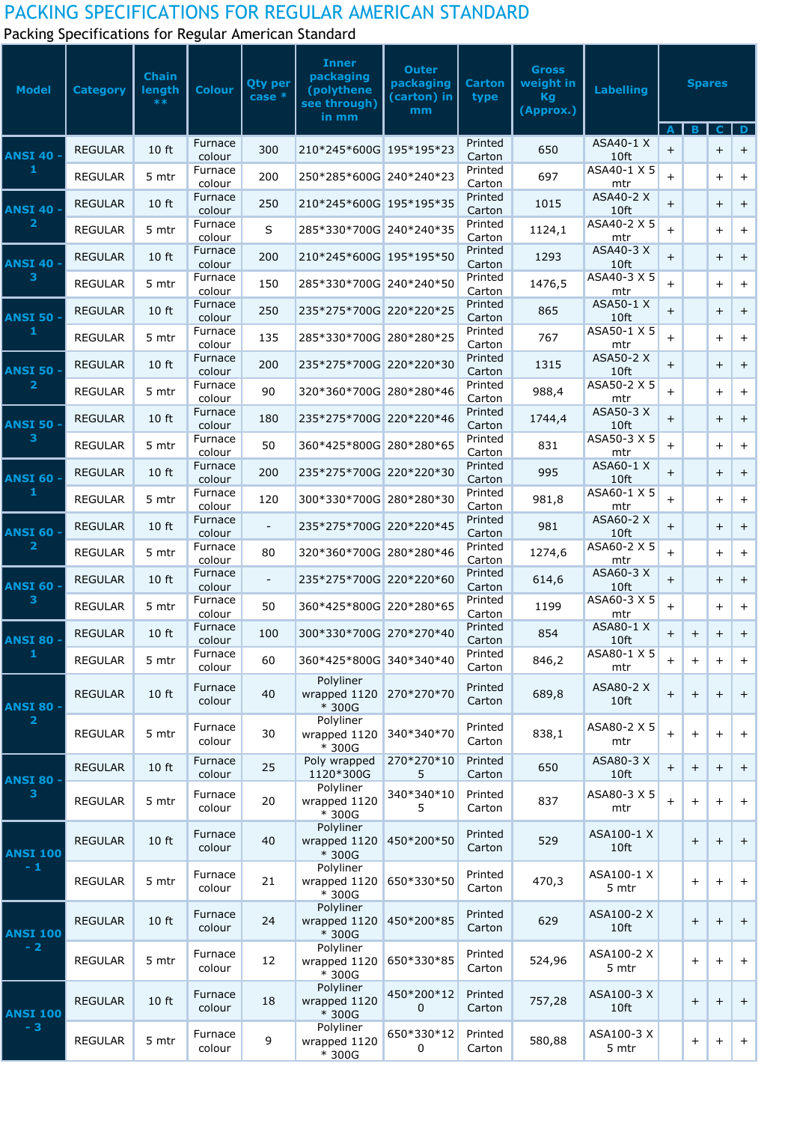## PACKING SPECIFICATIONS FOR REGULAR AMERICAN STANDARD

Packing Specifications for Regular American Standard

| <b>Model</b>                     | <b>Category</b> | <b>Chain</b><br>length<br>$**$ | <b>Colour</b>     | <b>Qty per</b><br>$case *$ | <b>Inner</b><br>packaging<br>(polythene<br>see through)<br>in mm | <b>Outer</b><br>packaging<br>(carton) in<br>mm | <b>Carton</b><br>type | <b>Gross</b><br>weight in<br><b>Kg</b><br>(Approx.) | <b>Labelling</b>         | <b>Spares</b><br>B.<br>C. |           |           | D         |
|----------------------------------|-----------------|--------------------------------|-------------------|----------------------------|------------------------------------------------------------------|------------------------------------------------|-----------------------|-----------------------------------------------------|--------------------------|---------------------------|-----------|-----------|-----------|
| <b>ANSI 40 -</b><br>1            | <b>REGULAR</b>  | 10 ft                          | Furnace<br>colour | 300                        | 210*245*600G 195*195*23                                          |                                                | Printed<br>Carton     | 650                                                 | ASA40-1 X<br>10ft        | $+$                       |           | $+$       | $\pm$     |
|                                  | <b>REGULAR</b>  | 5 mtr                          | Furnace<br>colour | 200                        | 250*285*600G 240*240*23                                          |                                                | Printed<br>Carton     | 697                                                 | ASA40-1 X 5<br>mtr       | $\ddot{}$                 |           | $+$       | $+$       |
| <b>ANSI 40 -</b><br>$\mathbf{2}$ | <b>REGULAR</b>  | 10 ft                          | Furnace<br>colour | 250                        | 210*245*600G 195*195*35                                          |                                                | Printed<br>Carton     | 1015                                                | ASA40-2 X<br>10ft        | $+$                       |           | $+$       | $+$       |
|                                  | <b>REGULAR</b>  | 5 mtr                          | Furnace<br>colour | $\mathsf{S}$               | 285*330*700G 240*240*35                                          |                                                | Printed<br>Carton     | 1124,1                                              | ASA40-2 X 5<br>mtr       | $\ddot{}$                 |           | $\ddot{}$ | $^{+}$    |
| <b>ANSI 40 -</b>                 | <b>REGULAR</b>  | 10 ft                          | Furnace<br>colour | 200                        | 210*245*600G 195*195*50                                          |                                                | Printed<br>Carton     | 1293                                                | ASA40-3 X<br>10ft        | $\ddot{}$                 |           | $+$       | $+$       |
| 3                                | <b>REGULAR</b>  | 5 mtr                          | Furnace<br>colour | 150                        | 285*330*700G 240*240*50                                          |                                                | Printed<br>Carton     | 1476,5                                              | ASA40-3 X 5<br>mtr       | $+$                       |           | $+$       | $+$       |
| ANSI 50 -                        | <b>REGULAR</b>  | 10 ft                          | Furnace<br>colour | 250                        | 235*275*700G 220*220*25                                          |                                                | Printed<br>Carton     | 865                                                 | ASA50-1 X<br>10ft        | $+$                       |           | $\ddot{}$ | $\ddot{}$ |
| 1                                | <b>REGULAR</b>  | 5 mtr                          | Furnace<br>colour | 135                        | 285*330*700G 280*280*25                                          |                                                | Printed<br>Carton     | 767                                                 | ASA50-1 X 5<br>mtr       | $\ddot{}$                 |           | $\ddot{}$ | $^{+}$    |
| <b>ANSI 50 -</b>                 | <b>REGULAR</b>  | 10 ft                          | Furnace<br>colour | 200                        | 235*275*700G 220*220*30                                          |                                                | Printed<br>Carton     | 1315                                                | ASA50-2 X<br>10ft        | $\pm$                     |           | $+$       | $+$       |
| $\mathbf{2}$                     | <b>REGULAR</b>  | 5 mtr                          | Furnace<br>colour | 90                         | 320*360*700G 280*280*46                                          |                                                | Printed<br>Carton     | 988,4                                               | ASA50-2 X 5<br>mtr       | $+$                       |           | $+$       | $^{+}$    |
| ANSI 50 ·                        | <b>REGULAR</b>  | 10 ft                          | Furnace<br>colour | 180                        | 235*275*700G 220*220*46                                          |                                                | Printed<br>Carton     | 1744,4                                              | ASA50-3 X<br>10ft        | $\ddot{}$                 |           | $\ddot{}$ | $\ddot{}$ |
| 3                                | <b>REGULAR</b>  | 5 mtr                          | Furnace<br>colour | 50                         | 360*425*800G 280*280*65                                          |                                                | Printed<br>Carton     | 831                                                 | ASA50-3 X 5<br>mtr       | $\ddot{}$                 |           | $\ddot{}$ | $\ddot{}$ |
| ANSI 60 $\,$                     | <b>REGULAR</b>  | 10 ft                          | Furnace<br>colour | 200                        | 235*275*700G 220*220*30                                          |                                                | Printed<br>Carton     | 995                                                 | ASA60-1 X<br>10ft        | $\pm$                     |           | $+$       | $+$       |
| 1                                | <b>REGULAR</b>  | 5 mtr                          | Furnace<br>colour | 120                        | 300*330*700G 280*280*30                                          |                                                | Printed<br>Carton     | 981,8                                               | ASA60-1 X 5<br>mtr       | $\ddot{}$                 |           | $\ddot{}$ | $\ddot{}$ |
| <b>ANSI 60 -</b>                 | <b>REGULAR</b>  | 10 ft                          | Furnace<br>colour |                            | 235*275*700G 220*220*45                                          |                                                | Printed<br>Carton     | 981                                                 | <b>ASA60-2 X</b><br>10ft | $\ddot{}$                 |           | $+$       | $\ddot{}$ |
| $\overline{\mathbf{2}}$          | <b>REGULAR</b>  | 5 mtr                          | Furnace<br>colour | 80                         | 320*360*700G 280*280*46                                          |                                                | Printed<br>Carton     | 1274,6                                              | ASA60-2 X 5<br>mtr       | $\ddot{}$                 |           | $+$       | $+$       |
| <b>ANSI 60 -</b>                 | <b>REGULAR</b>  | 10 ft                          | Furnace<br>colour | $\overline{\phantom{a}}$   | 235*275*700G 220*220*60                                          |                                                | Printed<br>Carton     | 614,6                                               | ASA60-3 X<br>10ft        | $+$                       |           | $+$       | $+$       |
| 3                                | <b>REGULAR</b>  | 5 mtr                          | Furnace<br>colour | 50                         | 360*425*800G 220*280*65                                          |                                                | Printed<br>Carton     | 1199                                                | ASA60-3 X 5<br>mtr       | $+$                       |           | $+$       | $+$       |
| ANSI 80 -                        | <b>REGULAR</b>  | 10 ft                          | Furnace<br>colour | 100                        | 300*330*700G 270*270*40                                          |                                                | Printed<br>Carton     | 854                                                 | ASA80-1 X<br>10ft        | $+$                       | $+$       | $+$       | $+$       |
| 1                                | <b>REGULAR</b>  | 5 mtr                          | Furnace<br>colour | 60                         | 360*425*800G 340*340*40                                          |                                                | Printed<br>Carton     | 846,2                                               | ASA80-1 X 5<br>mtr       | $+$                       | $+$       | $+$       | $+$       |
| ANSI 80 -<br>$\overline{2}$      | <b>REGULAR</b>  | 10 ft                          | Furnace<br>colour | 40                         | Polyliner<br>wrapped 1120<br>* 300G                              | 270*270*70                                     | Printed<br>Carton     | 689,8                                               | ASA80-2 X<br>10ft        | $\ddot{}$                 | $^{+}$    | $+$       | $+$       |
|                                  | <b>REGULAR</b>  | 5 mtr                          | Furnace<br>colour | 30                         | Polyliner<br>wrapped 1120<br>* 300G                              | 340*340*70                                     | Printed<br>Carton     | 838,1                                               | ASA80-2 X 5<br>mtr       | $\ddot{}$                 | $+$       | $+$       | $+$       |
| ANSI 80 -                        | <b>REGULAR</b>  | 10 ft                          | Furnace<br>colour | 25                         | Poly wrapped<br>1120*300G                                        | 270*270*10<br>5                                | Printed<br>Carton     | 650                                                 | ASA80-3 X<br>10ft        | $+$                       | $+$       | $\ddot{}$ | $+$       |
| 3                                | <b>REGULAR</b>  | 5 mtr                          | Furnace<br>colour | 20                         | Polyliner<br>wrapped 1120<br>* 300G                              | 340*340*10<br>5                                | Printed<br>Carton     | 837                                                 | ASA80-3 X 5<br>mtr       | $+$                       | $^{+}$    | $+$       | $+$       |
| <b>ANSI 100</b><br>$-1$          | <b>REGULAR</b>  | 10 ft                          | Furnace<br>colour | 40                         | Polyliner<br>wrapped 1120<br>* 300G                              | 450*200*50                                     | Printed<br>Carton     | 529                                                 | ASA100-1 X<br>10ft       |                           | $+$       | $+$       | $^{+}$    |
|                                  | <b>REGULAR</b>  | 5 mtr                          | Furnace<br>colour | 21                         | Polyliner<br>wrapped 1120<br>* 300G                              | 650*330*50                                     | Printed<br>Carton     | 470,3                                               | ASA100-1 X<br>5 mtr      |                           | $+$       | $+$       | $+$       |
| <b>ANSI 100</b>                  | <b>REGULAR</b>  | 10 ft                          | Furnace<br>colour | 24                         | Polyliner<br>wrapped 1120<br>* 300G                              | 450*200*85                                     | Printed<br>Carton     | 629                                                 | ASA100-2 X<br>10ft       |                           | $+$       | $+$       | $+$       |
| $-2$                             | <b>REGULAR</b>  | 5 mtr                          | Furnace<br>colour | 12                         | Polyliner<br>wrapped 1120<br>* 300G                              | 650*330*85                                     | Printed<br>Carton     | 524,96                                              | ASA100-2 X<br>5 mtr      |                           | $+$       | $+$       | $+$       |
| <b>ANSI 100</b>                  | <b>REGULAR</b>  | 10 ft                          | Furnace<br>colour | 18                         | Polyliner<br>wrapped 1120<br>* 300G                              | 450*200*12 Printed<br>0                        | Carton                | 757,28                                              | ASA100-3 X<br>10ft       |                           | $\ddot{}$ | $+$       | $+$       |
| $-3$                             | <b>REGULAR</b>  | 5 mtr                          | Furnace<br>colour | 9                          | Polyliner<br>wrapped 1120<br>* 300G                              | 650*330*12<br>0                                | Printed<br>Carton     | 580,88                                              | ASA100-3 X<br>5 mtr      |                           | $+$       | $+$       | $+$       |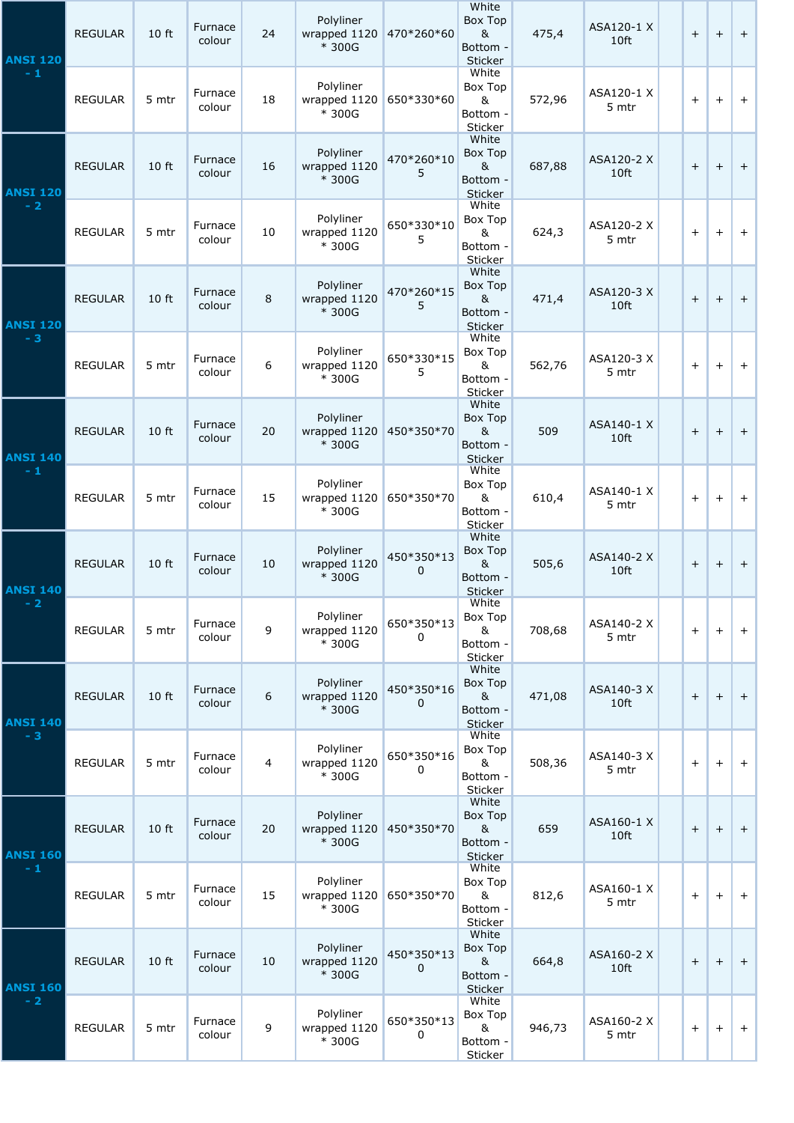| <b>ANSI 120</b><br>$-1$ | <b>REGULAR</b> | 10 ft | Furnace<br>colour | 24 | Polyliner<br>wrapped 1120<br>* 300G | 470*260*60      | White<br>Box Top<br>&<br>Bottom -<br>Sticker               | 475,4  | ASA120-1 X<br>10ft  | $+$ | $+$ | $+$       |
|-------------------------|----------------|-------|-------------------|----|-------------------------------------|-----------------|------------------------------------------------------------|--------|---------------------|-----|-----|-----------|
|                         | <b>REGULAR</b> | 5 mtr | Furnace<br>colour | 18 | Polyliner<br>wrapped 1120<br>* 300G | 650*330*60      | White<br>Box Top<br>&<br>Bottom -<br>Sticker               | 572,96 | ASA120-1 X<br>5 mtr | $+$ | $+$ | $+$       |
| <b>ANSI 120</b><br>$-2$ | <b>REGULAR</b> | 10 ft | Furnace<br>colour | 16 | Polyliner<br>wrapped 1120<br>* 300G | 470*260*10<br>5 | White<br>Box Top<br>$\&$<br>Bottom -<br>Sticker            | 687,88 | ASA120-2 X<br>10ft  | $+$ | $+$ | $+$       |
|                         | <b>REGULAR</b> | 5 mtr | Furnace<br>colour | 10 | Polyliner<br>wrapped 1120<br>* 300G | 650*330*10<br>5 | White<br>Box Top<br>&<br>Bottom -<br>Sticker               | 624,3  | ASA120-2 X<br>5 mtr | $+$ | $+$ | $+$       |
| <b>ANSI 120</b><br>$-3$ | <b>REGULAR</b> | 10 ft | Furnace<br>colour | 8  | Polyliner<br>wrapped 1120<br>* 300G | 470*260*15<br>5 | White<br>Box Top<br>&<br>Bottom -<br>Sticker               | 471,4  | ASA120-3 X<br>10ft  | $+$ | $+$ | $+$       |
|                         | <b>REGULAR</b> | 5 mtr | Furnace<br>colour | 6  | Polyliner<br>wrapped 1120<br>* 300G | 650*330*15<br>5 | White<br>Box Top<br>&<br>Bottom -<br>Sticker               | 562,76 | ASA120-3 X<br>5 mtr | $+$ | $+$ | $+$       |
| <b>ANSI 140</b><br>$-1$ | <b>REGULAR</b> | 10 ft | Furnace<br>colour | 20 | Polyliner<br>wrapped 1120<br>* 300G | 450*350*70      | White<br>Box Top<br>$\alpha$<br>Bottom -<br>Sticker        | 509    | ASA140-1 X<br>10ft  | $+$ | $+$ | $\ddot{}$ |
|                         | <b>REGULAR</b> | 5 mtr | Furnace<br>colour | 15 | Polyliner<br>wrapped 1120<br>* 300G | 650*350*70      | White<br>Box Top<br>&<br>Bottom -<br>Sticker               | 610,4  | ASA140-1 X<br>5 mtr | $+$ | $+$ | $+$       |
| <b>ANSI 140</b><br>$-2$ | <b>REGULAR</b> | 10 ft | Furnace<br>colour | 10 | Polyliner<br>wrapped 1120<br>* 300G | 450*350*13<br>0 | White<br>Box Top<br>&<br>Bottom -<br>Sticker               | 505,6  | ASA140-2 X<br>10ft  | $+$ | $+$ | $+$       |
|                         | <b>REGULAR</b> | 5 mtr | Furnace<br>colour | 9  | Polyliner<br>wrapped 1120<br>* 300G | 650*350*13<br>0 | White<br>Box Top<br>&<br>Bottom -<br>Sticker               | 708,68 | ASA140-2 X<br>5 mtr | $+$ | $+$ | $+$       |
| <b>ANSI 140</b><br>$-3$ | <b>REGULAR</b> | 10 ft | Furnace<br>colour | 6  | Polyliner<br>wrapped 1120<br>* 300G | 450*350*16<br>0 | White<br>Box Top<br>&<br>Bottom -<br>Sticker               | 471,08 | ASA140-3 X<br>10ft  | $+$ | $+$ | $+$       |
|                         | <b>REGULAR</b> | 5 mtr | Furnace<br>colour | 4  | Polyliner<br>wrapped 1120<br>* 300G | 650*350*16<br>0 | White<br>Box Top<br>&<br>Bottom -<br>Sticker               | 508,36 | ASA140-3 X<br>5 mtr | $+$ | $+$ | $+$       |
| <b>ANSI 160</b><br>$-1$ | <b>REGULAR</b> | 10 ft | Furnace<br>colour | 20 | Polyliner<br>wrapped 1120<br>* 300G | 450*350*70      | White<br>Box Top<br>$\alpha$<br>Bottom -<br><b>Sticker</b> | 659    | ASA160-1 X<br>10ft  | $+$ | $+$ | $\ddot{}$ |
|                         | <b>REGULAR</b> | 5 mtr | Furnace<br>colour | 15 | Polyliner<br>wrapped 1120<br>* 300G | 650*350*70      | White<br>Box Top<br>8 <sub>k</sub><br>Bottom -<br>Sticker  | 812,6  | ASA160-1 X<br>5 mtr | $+$ | $+$ | $+$       |
| <b>ANSI 160</b><br>$-2$ | <b>REGULAR</b> | 10 ft | Furnace<br>colour | 10 | Polyliner<br>wrapped 1120<br>* 300G | 450*350*13<br>0 | White<br>Box Top<br>&<br>Bottom -<br>Sticker               | 664,8  | ASA160-2 X<br>10ft  | $+$ | $+$ | $\pm$     |
|                         | <b>REGULAR</b> | 5 mtr | Furnace<br>colour | 9  | Polyliner<br>wrapped 1120<br>* 300G | 650*350*13<br>0 | White<br>Box Top<br>&<br>Bottom -<br>Sticker               | 946,73 | ASA160-2 X<br>5 mtr | $+$ | $+$ | $+$       |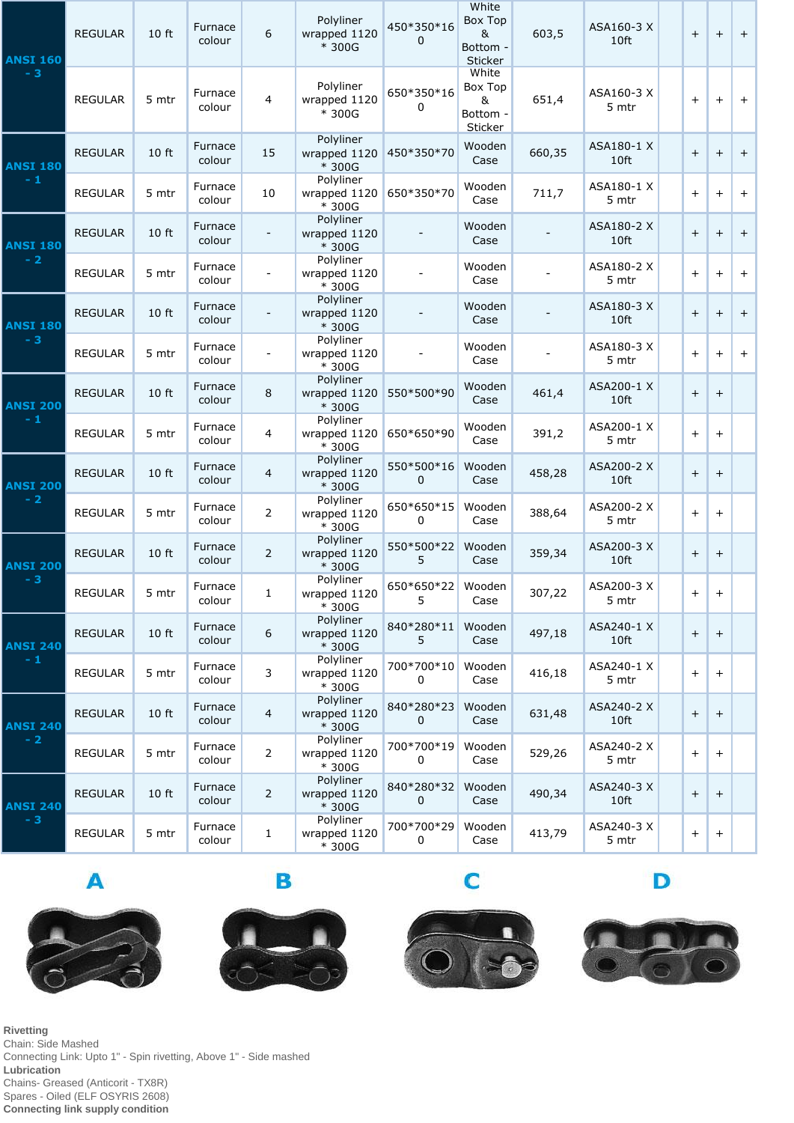| <b>ANSI 160</b><br>$-3$ | <b>REGULAR</b> | 10 ft | Furnace<br>colour | 6              | Polyliner<br>wrapped 1120<br>* 300G | 450*350*16<br>0         | White<br>Box Top<br>&<br>Bottom -<br><b>Sticker</b> | 603,5  | ASA160-3 X<br>10ft  | $+$                              | $+$                              | $+$ |
|-------------------------|----------------|-------|-------------------|----------------|-------------------------------------|-------------------------|-----------------------------------------------------|--------|---------------------|----------------------------------|----------------------------------|-----|
|                         | <b>REGULAR</b> | 5 mtr | Furnace<br>colour | 4              | Polyliner<br>wrapped 1120<br>* 300G | 650*350*16<br>0         | White<br>Box Top<br>&<br>Bottom -<br>Sticker        | 651,4  | ASA160-3 X<br>5 mtr | $\pm$                            | $+$                              | $+$ |
| <b>ANSI 180</b><br>$-1$ | <b>REGULAR</b> | 10 ft | Furnace<br>colour | 15             | Polyliner<br>wrapped 1120<br>* 300G | 450*350*70              | Wooden<br>Case                                      | 660,35 | ASA180-1 X<br>10ft  | $+$                              | $+$                              | $+$ |
|                         | <b>REGULAR</b> | 5 mtr | Furnace<br>colour | 10             | Polyliner<br>wrapped 1120<br>* 300G | 650*350*70              | Wooden<br>Case                                      | 711,7  | ASA180-1 X<br>5 mtr | $+$                              | $+$                              | $+$ |
| <b>ANSI 180</b><br>$-2$ | <b>REGULAR</b> | 10 ft | Furnace<br>colour |                | Polyliner<br>wrapped 1120<br>* 300G |                         | Wooden<br>Case                                      |        | ASA180-2 X<br>10ft  | $+$                              | $+$                              | $+$ |
|                         | <b>REGULAR</b> | 5 mtr | Furnace<br>colour |                | Polyliner<br>wrapped 1120<br>* 300G |                         | Wooden<br>Case                                      |        | ASA180-2 X<br>5 mtr | $+$                              | $+$                              | $+$ |
| <b>ANSI 180</b><br>$-3$ | <b>REGULAR</b> | 10 ft | Furnace<br>colour |                | Polyliner<br>wrapped 1120<br>* 300G |                         | Wooden<br>Case                                      |        | ASA180-3 X<br>10ft  | $+$                              | $+$                              | $+$ |
|                         | <b>REGULAR</b> | 5 mtr | Furnace<br>colour |                | Polyliner<br>wrapped 1120<br>* 300G |                         | Wooden<br>Case                                      |        | ASA180-3 X<br>5 mtr | $+$                              | $\ddot{}$                        | $+$ |
| <b>ANSI 200</b><br>$-1$ | <b>REGULAR</b> | 10 ft | Furnace<br>colour | 8              | Polyliner<br>wrapped 1120<br>* 300G | 550*500*90              | Wooden<br>Case                                      | 461,4  | ASA200-1 X<br>10ft  | $+$                              | $+$                              |     |
|                         | <b>REGULAR</b> | 5 mtr | Furnace<br>colour | $\overline{4}$ | Polyliner<br>wrapped 1120<br>* 300G | 650*650*90              | Wooden<br>Case                                      | 391,2  | ASA200-1 X<br>5 mtr | $+$                              | $+$                              |     |
| <b>ANSI 200</b><br>$-2$ | REGULAR        | 10 ft | Furnace<br>colour | 4              | Polyliner<br>wrapped 1120<br>* 300G | 550*500*16<br>$\pmb{0}$ | Wooden<br>Case                                      | 458,28 | ASA200-2 X<br>10ft  | $\pm$                            | $\pm$                            |     |
|                         | <b>REGULAR</b> | 5 mtr | Furnace<br>colour | $\overline{2}$ | Polyliner<br>wrapped 1120<br>* 300G | 650*650*15<br>0         | Wooden<br>Case                                      | 388,64 | ASA200-2 X<br>5 mtr | $+$                              | $+$                              |     |
| <b>ANSI 200</b><br>$-3$ | <b>REGULAR</b> | 10 ft | Furnace<br>colour | $\overline{2}$ | Polyliner<br>wrapped 1120<br>* 300G | 550*500*22<br>5         | Wooden<br>Case                                      | 359,34 | ASA200-3 X<br>10ft  | $+$                              | $\begin{array}{c} + \end{array}$ |     |
|                         | <b>REGULAR</b> | 5 mtr | Furnace<br>colour | $\mathbf{1}$   | Polyliner<br>wrapped 1120<br>* 300G | 650*650*22<br>5         | Wooden<br>Case                                      | 307,22 | ASA200-3 X<br>5 mtr | $+$                              | $+$                              |     |
| <b>ANSI 240</b><br>$-1$ | <b>REGULAR</b> | 10 ft | Furnace<br>colour | 6              | Polyliner<br>wrapped 1120<br>* 300G | 840*280*11<br>5         | Wooden<br>Case                                      | 497,18 | ASA240-1 X<br>10ft  | $\boldsymbol{+}$                 | $+$                              |     |
|                         | <b>REGULAR</b> | 5 mtr | Furnace<br>colour | 3              | Polyliner<br>wrapped 1120<br>* 300G | 700*700*10<br>0         | Wooden<br>Case                                      | 416,18 | ASA240-1 X<br>5 mtr | $+$                              | $+$                              |     |
| <b>ANSI 240</b><br>$-2$ | <b>REGULAR</b> | 10 ft | Furnace<br>colour | 4              | Polyliner<br>wrapped 1120<br>* 300G | 840*280*23<br>0         | Wooden<br>Case                                      | 631,48 | ASA240-2 X<br>10ft  | $+$                              | $+$                              |     |
|                         | <b>REGULAR</b> | 5 mtr | Furnace<br>colour | $\overline{2}$ | Polyliner<br>wrapped 1120<br>* 300G | 700*700*19<br>0         | Wooden<br>Case                                      | 529,26 | ASA240-2 X<br>5 mtr | $\begin{array}{c} + \end{array}$ | $+$                              |     |
| <b>ANSI 240</b><br>$-3$ | <b>REGULAR</b> | 10 ft | Furnace<br>colour | $\overline{2}$ | Polyliner<br>wrapped 1120<br>* 300G | 840*280*32<br>0         | Wooden<br>Case                                      | 490,34 | ASA240-3 X<br>10ft  | $+$                              | $\begin{array}{c} + \end{array}$ |     |
|                         | <b>REGULAR</b> | 5 mtr | Furnace<br>colour | $\mathbf{1}$   | Polyliner<br>wrapped 1120<br>* 300G | 700*700*29<br>0         | Wooden<br>Case                                      | 413,79 | ASA240-3 X<br>5 mtr | $+$                              | $+$                              |     |

 $\blacktriangle$ 







C



D

**Rivetting** Chain: Side Mashed Connecting Link: Upto 1" - Spin rivetting, Above 1" - Side mashed **Lubrication** Chains- Greased (Anticorit - TX8R) Spares - Oiled (ELF OSYRIS 2608) **Connecting link supply condition**